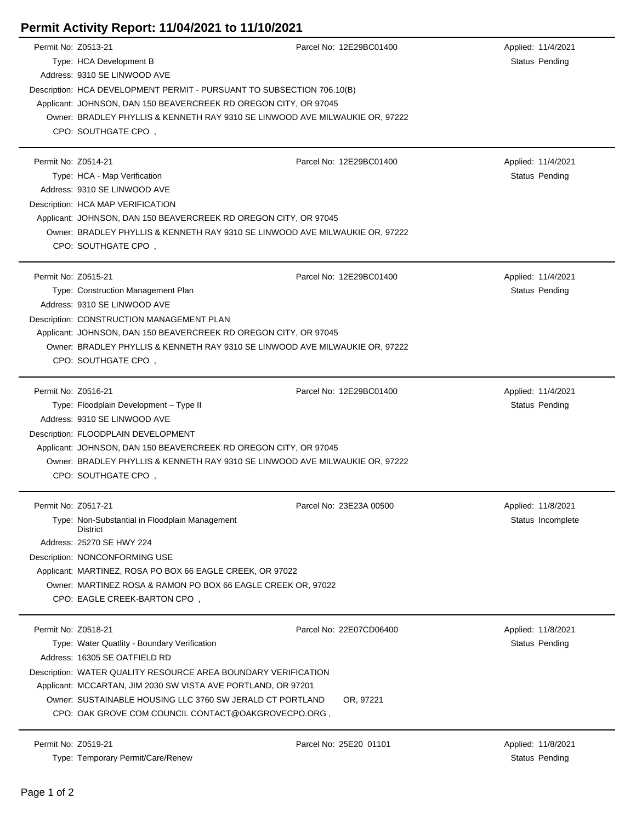## **Permit Activity Report: 11/04/2021 to 11/10/2021**

| Permit No: Z0513-21 |                                                                              | Parcel No: 12E29BC01400 | Applied: 11/4/2021    |  |
|---------------------|------------------------------------------------------------------------------|-------------------------|-----------------------|--|
|                     | Type: HCA Development B                                                      |                         | <b>Status Pending</b> |  |
|                     | Address: 9310 SE LINWOOD AVE                                                 |                         |                       |  |
|                     | Description: HCA DEVELOPMENT PERMIT - PURSUANT TO SUBSECTION 706.10(B)       |                         |                       |  |
|                     | Applicant: JOHNSON, DAN 150 BEAVERCREEK RD OREGON CITY, OR 97045             |                         |                       |  |
|                     | Owner: BRADLEY PHYLLIS & KENNETH RAY 9310 SE LINWOOD AVE MILWAUKIE OR, 97222 |                         |                       |  |
|                     | CPO: SOUTHGATE CPO,                                                          |                         |                       |  |
|                     |                                                                              |                         |                       |  |
| Permit No: Z0514-21 |                                                                              | Parcel No: 12E29BC01400 | Applied: 11/4/2021    |  |
|                     | Type: HCA - Map Verification                                                 |                         | Status Pending        |  |
|                     | Address: 9310 SE LINWOOD AVE                                                 |                         |                       |  |
|                     | Description: HCA MAP VERIFICATION                                            |                         |                       |  |
|                     | Applicant: JOHNSON, DAN 150 BEAVERCREEK RD OREGON CITY, OR 97045             |                         |                       |  |
|                     | Owner: BRADLEY PHYLLIS & KENNETH RAY 9310 SE LINWOOD AVE MILWAUKIE OR, 97222 |                         |                       |  |
|                     | CPO: SOUTHGATE CPO,                                                          |                         |                       |  |
|                     |                                                                              |                         |                       |  |
| Permit No: Z0515-21 |                                                                              | Parcel No: 12E29BC01400 | Applied: 11/4/2021    |  |
|                     | Type: Construction Management Plan                                           |                         | Status Pending        |  |
|                     | Address: 9310 SE LINWOOD AVE                                                 |                         |                       |  |
|                     | Description: CONSTRUCTION MANAGEMENT PLAN                                    |                         |                       |  |
|                     | Applicant: JOHNSON, DAN 150 BEAVERCREEK RD OREGON CITY, OR 97045             |                         |                       |  |
|                     | Owner: BRADLEY PHYLLIS & KENNETH RAY 9310 SE LINWOOD AVE MILWAUKIE OR, 97222 |                         |                       |  |
|                     | CPO: SOUTHGATE CPO,                                                          |                         |                       |  |
|                     |                                                                              |                         |                       |  |
| Permit No: Z0516-21 |                                                                              | Parcel No: 12E29BC01400 | Applied: 11/4/2021    |  |
|                     | Type: Floodplain Development - Type II                                       |                         | Status Pending        |  |
|                     | Address: 9310 SE LINWOOD AVE                                                 |                         |                       |  |
|                     | Description: FLOODPLAIN DEVELOPMENT                                          |                         |                       |  |
|                     | Applicant: JOHNSON, DAN 150 BEAVERCREEK RD OREGON CITY, OR 97045             |                         |                       |  |
|                     | Owner: BRADLEY PHYLLIS & KENNETH RAY 9310 SE LINWOOD AVE MILWAUKIE OR, 97222 |                         |                       |  |
|                     | CPO: SOUTHGATE CPO,                                                          |                         |                       |  |
|                     |                                                                              |                         |                       |  |
| Permit No: Z0517-21 |                                                                              | Parcel No: 23E23A 00500 | Applied: 11/8/2021    |  |
|                     | Type: Non-Substantial in Floodplain Management                               |                         | Status Incomplete     |  |
|                     | <b>District</b>                                                              |                         |                       |  |
|                     | Address: 25270 SE HWY 224                                                    |                         |                       |  |
|                     | Description: NONCONFORMING USE                                               |                         |                       |  |
|                     | Applicant: MARTINEZ, ROSA PO BOX 66 EAGLE CREEK, OR 97022                    |                         |                       |  |
|                     | Owner: MARTINEZ ROSA & RAMON PO BOX 66 EAGLE CREEK OR, 97022                 |                         |                       |  |
|                     | CPO: EAGLE CREEK-BARTON CPO,                                                 |                         |                       |  |
|                     |                                                                              |                         |                       |  |
| Permit No: Z0518-21 |                                                                              | Parcel No: 22E07CD06400 | Applied: 11/8/2021    |  |
|                     | Type: Water Quatlity - Boundary Verification                                 |                         | Status Pending        |  |
|                     | Address: 16305 SE OATFIELD RD                                                |                         |                       |  |
|                     | Description: WATER QUALITY RESOURCE AREA BOUNDARY VERIFICATION               |                         |                       |  |
|                     | Applicant: MCCARTAN, JIM 2030 SW VISTA AVE PORTLAND, OR 97201                |                         |                       |  |
|                     | Owner: SUSTAINABLE HOUSING LLC 3760 SW JERALD CT PORTLAND                    | OR, 97221               |                       |  |
|                     | CPO: OAK GROVE COM COUNCIL CONTACT@OAKGROVECPO.ORG,                          |                         |                       |  |
|                     |                                                                              |                         |                       |  |
| Permit No: Z0519-21 |                                                                              | Parcel No: 25E20 01101  | Applied: 11/8/2021    |  |
|                     | Type: Temporary Permit/Care/Renew                                            |                         | <b>Status Pending</b> |  |